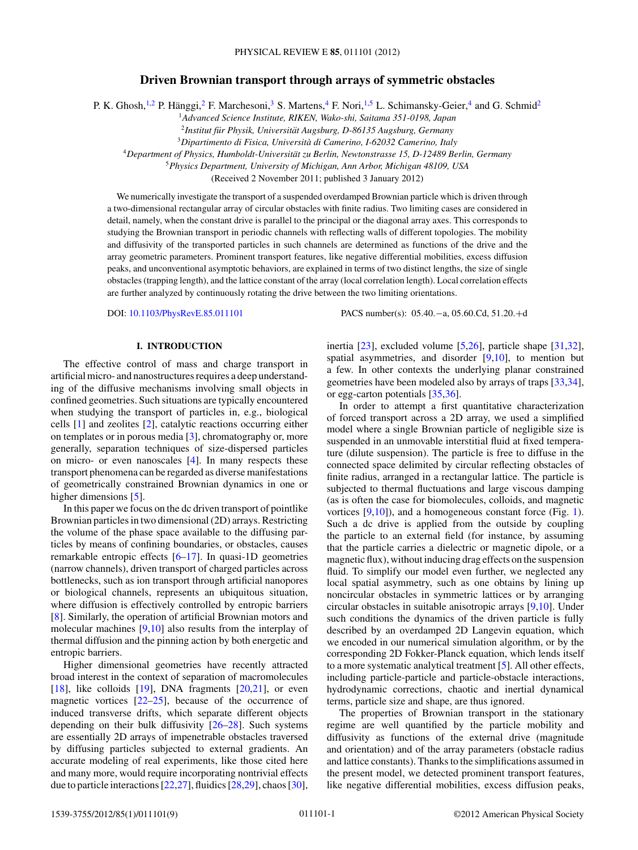# **Driven Brownian transport through arrays of symmetric obstacles**

P. K. Ghosh,<sup>1,2</sup> P. Hänggi,<sup>2</sup> F. Marchesoni,<sup>3</sup> S. Martens,<sup>4</sup> F. Nori,<sup>1,5</sup> L. Schimansky-Geier,<sup>4</sup> and G. Schmid<sup>2</sup>

<sup>1</sup>*Advanced Science Institute, RIKEN, Wako-shi, Saitama 351-0198, Japan*

<sup>2</sup> Institut für Physik, Universität Augsburg, D-86135 Augsburg, Germany

<sup>3</sup>*Dipartimento di Fisica, Universita di Camerino, I-62032 Camerino, Italy `*

<sup>4</sup>*Department of Physics, Humboldt-Universitat zu Berlin, Newtonstrasse 15, D-12489 Berlin, Germany ¨*

<sup>5</sup>*Physics Department, University of Michigan, Ann Arbor, Michigan 48109, USA*

(Received 2 November 2011; published 3 January 2012)

We numerically investigate the transport of a suspended overdamped Brownian particle which is driven through a two-dimensional rectangular array of circular obstacles with finite radius. Two limiting cases are considered in detail, namely, when the constant drive is parallel to the principal or the diagonal array axes. This corresponds to studying the Brownian transport in periodic channels with reflecting walls of different topologies. The mobility and diffusivity of the transported particles in such channels are determined as functions of the drive and the array geometric parameters. Prominent transport features, like negative differential mobilities, excess diffusion peaks, and unconventional asymptotic behaviors, are explained in terms of two distinct lengths, the size of single obstacles (trapping length), and the lattice constant of the array (local correlation length). Local correlation effects are further analyzed by continuously rotating the drive between the two limiting orientations.

DOI: [10.1103/PhysRevE.85.011101](http://dx.doi.org/10.1103/PhysRevE.85.011101) PACS number(s): 05*.*40*.*−a, 05*.*60*.*Cd, 51*.*20*.*+d

### **I. INTRODUCTION**

The effective control of mass and charge transport in artificial micro- and nanostructures requires a deep understanding of the diffusive mechanisms involving small objects in confined geometries. Such situations are typically encountered when studying the transport of particles in, e.g., biological cells [\[1\]](#page-7-0) and zeolites [\[2\]](#page-7-0), catalytic reactions occurring either on templates or in porous media [\[3\]](#page-7-0), chromatography or, more generally, separation techniques of size-dispersed particles on micro- or even nanoscales [\[4\]](#page-7-0). In many respects these transport phenomena can be regarded as diverse manifestations of geometrically constrained Brownian dynamics in one or higher dimensions [\[5\]](#page-7-0).

In this paper we focus on the dc driven transport of pointlike Brownian particles in two dimensional (2D) arrays. Restricting the volume of the phase space available to the diffusing particles by means of confining boundaries, or obstacles, causes remarkable entropic effects [\[6–17\]](#page-8-0). In quasi-1D geometries (narrow channels), driven transport of charged particles across bottlenecks, such as ion transport through artificial nanopores or biological channels, represents an ubiquitous situation, where diffusion is effectively controlled by entropic barriers [\[8\]](#page-8-0). Similarly, the operation of artificial Brownian motors and molecular machines [\[9,10\]](#page-8-0) also results from the interplay of thermal diffusion and the pinning action by both energetic and entropic barriers.

Higher dimensional geometries have recently attracted broad interest in the context of separation of macromolecules  $[18]$ , like colloids  $[19]$ , DNA fragments  $[20,21]$ , or even magnetic vortices  $[22-25]$ , because of the occurrence of induced transverse drifts, which separate different objects depending on their bulk diffusivity  $[26-28]$ . Such systems are essentially 2D arrays of impenetrable obstacles traversed by diffusing particles subjected to external gradients. An accurate modeling of real experiments, like those cited here and many more, would require incorporating nontrivial effects due to particle interactions [\[22,27\]](#page-8-0), fluidics [\[28,29\]](#page-8-0), chaos [\[30\]](#page-8-0), inertia [\[23\]](#page-8-0), excluded volume [\[5,](#page-7-0)[26\]](#page-8-0), particle shape [\[31,32\]](#page-8-0), spatial asymmetries, and disorder  $[9,10]$ , to mention but a few. In other contexts the underlying planar constrained geometries have been modeled also by arrays of traps [\[33,34\]](#page-8-0), or egg-carton potentials [\[35,36\]](#page-8-0).

In order to attempt a first quantitative characterization of forced transport across a 2D array, we used a simplified model where a single Brownian particle of negligible size is suspended in an unmovable interstitial fluid at fixed temperature (dilute suspension). The particle is free to diffuse in the connected space delimited by circular reflecting obstacles of finite radius, arranged in a rectangular lattice. The particle is subjected to thermal fluctuations and large viscous damping (as is often the case for biomolecules, colloids, and magnetic vortices [\[9,10\]](#page-8-0)), and a homogeneous constant force (Fig. [1\)](#page-1-0). Such a dc drive is applied from the outside by coupling the particle to an external field (for instance, by assuming that the particle carries a dielectric or magnetic dipole, or a magnetic flux), without inducing drag effects on the suspension fluid. To simplify our model even further, we neglected any local spatial asymmetry, such as one obtains by lining up noncircular obstacles in symmetric lattices or by arranging circular obstacles in suitable anisotropic arrays [\[9,10\]](#page-8-0). Under such conditions the dynamics of the driven particle is fully described by an overdamped 2D Langevin equation, which we encoded in our numerical simulation algorithm, or by the corresponding 2D Fokker-Planck equation, which lends itself to a more systematic analytical treatment [\[5\]](#page-7-0). All other effects, including particle-particle and particle-obstacle interactions, hydrodynamic corrections, chaotic and inertial dynamical terms, particle size and shape, are thus ignored.

The properties of Brownian transport in the stationary regime are well quantified by the particle mobility and diffusivity as functions of the external drive (magnitude and orientation) and of the array parameters (obstacle radius and lattice constants). Thanks to the simplifications assumed in the present model, we detected prominent transport features, like negative differential mobilities, excess diffusion peaks,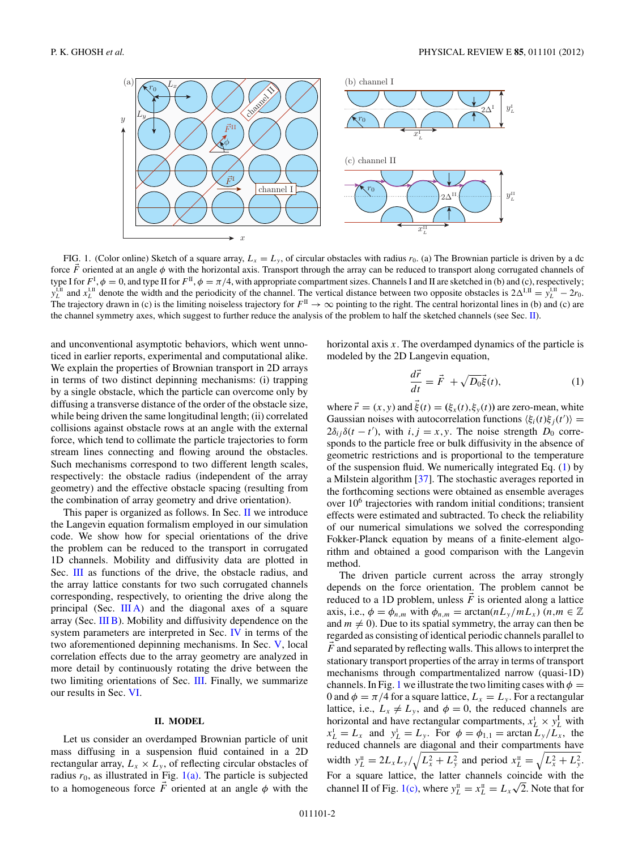<span id="page-1-0"></span>

FIG. 1. (Color online) Sketch of a square array,  $L_x = L_y$ , of circular obstacles with radius  $r_0$ . (a) The Brownian particle is driven by a dc force *F*-oriented at an angle  $\phi$  with the horizontal axis. Transport through the array can be reduced to transport along corrugated channels of type I for  $F^{\text{I}}$ ,  $\phi = 0$ , and type II for  $F^{\text{II}}$ ,  $\phi = \pi/4$ , with appropriate compartment sizes. Channels I and II are sketched in (b) and (c), respectively;  $y_L^{\text{LII}}$  and  $x_L^{\text{LII}}$  denote the width and the periodicity of the channel. The vertical distance between two opposite obstacles is  $2\Delta^{\text{LII}} = y_L^{\text{LII}} - 2r_0$ . The trajectory drawn in (c) is the limiting noiseless trajectory for  $F^{\text{II}} \to \infty$  pointing to the right. The central horizontal lines in (b) and (c) are the channel symmetry axes, which suggest to further reduce the analysis of the problem to half the sketched channels (see Sec. II).

and unconventional asymptotic behaviors, which went unnoticed in earlier reports, experimental and computational alike. We explain the properties of Brownian transport in 2D arrays in terms of two distinct depinning mechanisms: (i) trapping by a single obstacle, which the particle can overcome only by diffusing a transverse distance of the order of the obstacle size, while being driven the same longitudinal length; (ii) correlated collisions against obstacle rows at an angle with the external force, which tend to collimate the particle trajectories to form stream lines connecting and flowing around the obstacles. Such mechanisms correspond to two different length scales, respectively: the obstacle radius (independent of the array geometry) and the effective obstacle spacing (resulting from the combination of array geometry and drive orientation).

This paper is organized as follows. In Sec. II we introduce the Langevin equation formalism employed in our simulation code. We show how for special orientations of the drive the problem can be reduced to the transport in corrugated 1D channels. Mobility and diffusivity data are plotted in Sec. [III](#page-2-0) as functions of the drive, the obstacle radius, and the array lattice constants for two such corrugated channels corresponding, respectively, to orienting the drive along the principal (Sec. [III A\)](#page-2-0) and the diagonal axes of a square array (Sec.  $III$  B). Mobility and diffusivity dependence on the system parameters are interpreted in Sec. [IV](#page-4-0) in terms of the two aforementioned depinning mechanisms. In Sec. [V,](#page-6-0) local correlation effects due to the array geometry are analyzed in more detail by continuously rotating the drive between the two limiting orientations of Sec. [III.](#page-2-0) Finally, we summarize our results in Sec. [VI.](#page-7-0)

#### **II. MODEL**

Let us consider an overdamped Brownian particle of unit mass diffusing in a suspension fluid contained in a 2D rectangular array,  $L_x \times L_y$ , of reflecting circular obstacles of radius  $r_0$ , as illustrated in Fig.  $1(a)$ . The particle is subjected to a homogeneous force *F* oriented at an angle  $\phi$  with the horizontal axis *x*. The overdamped dynamics of the particle is modeled by the 2D Langevin equation,

$$
\frac{d\vec{r}}{dt} = \vec{F} + \sqrt{D_0}\vec{\xi}(t),\tag{1}
$$

where  $\vec{r} = (x, y)$  and  $\xi(t) = (\xi_x(t), \xi_y(t))$  are zero-mean, white Gaussian noises with autocorrelation functions  $\langle \xi_i(t) \xi_j(t') \rangle$  =  $2\delta_{ij}\delta(t-t')$ , with  $i, j = x, y$ . The noise strength  $D_0$  corresponds to the particle free or bulk diffusivity in the absence of geometric restrictions and is proportional to the temperature of the suspension fluid. We numerically integrated Eq. (1) by a Milstein algorithm [\[37\]](#page-8-0). The stochastic averages reported in the forthcoming sections were obtained as ensemble averages over  $10<sup>6</sup>$  trajectories with random initial conditions; transient effects were estimated and subtracted. To check the reliability of our numerical simulations we solved the corresponding Fokker-Planck equation by means of a finite-element algorithm and obtained a good comparison with the Langevin method.

The driven particle current across the array strongly depends on the force orientation. The problem cannot be reduced to a 1D problem, unless  $\ddot{F}$  is oriented along a lattice axis, i.e.,  $\phi = \phi_{n,m}$  with  $\phi_{n,m} = \arctan(nL_v/mL_x)$   $(n,m \in \mathbb{Z})$ and  $m \neq 0$ ). Due to its spatial symmetry, the array can then be regarded as consisting of identical periodic channels parallel to *F*- and separated by reflecting walls. This allows to interpret the stationary transport properties of the array in terms of transport mechanisms through compartmentalized narrow (quasi-1D) channels. In Fig. 1 we illustrate the two limiting cases with  $\phi =$ 0 and  $\phi = \pi/4$  for a square lattice,  $L_x = L_y$ . For a rectangular lattice, i.e.,  $L_x \neq L_y$ , and  $\phi = 0$ , the reduced channels are horizontal and have rectangular compartments,  $x_L^1 \times y_L^1$  with  $x_L^1 = L_x$  and  $y_L^1 = L_y$ . For  $\phi = \phi_{1,1} = \arctan L_y/L_x$ , the reduced channels are diagonal and their compartments have width  $y_L^{\text{II}} = 2L_x L_y / \sqrt{L_x^2 + L_y^2}$  and period  $x_L^{\text{II}} = \sqrt{L_x^2 + L_y^2}$ . For a square lattice, the latter channels coincide with the channel II of Fig. 1(c), where  $y_L^{\text{II}} = x_L^{\text{II}} = L_x \sqrt{2}$ . Note that for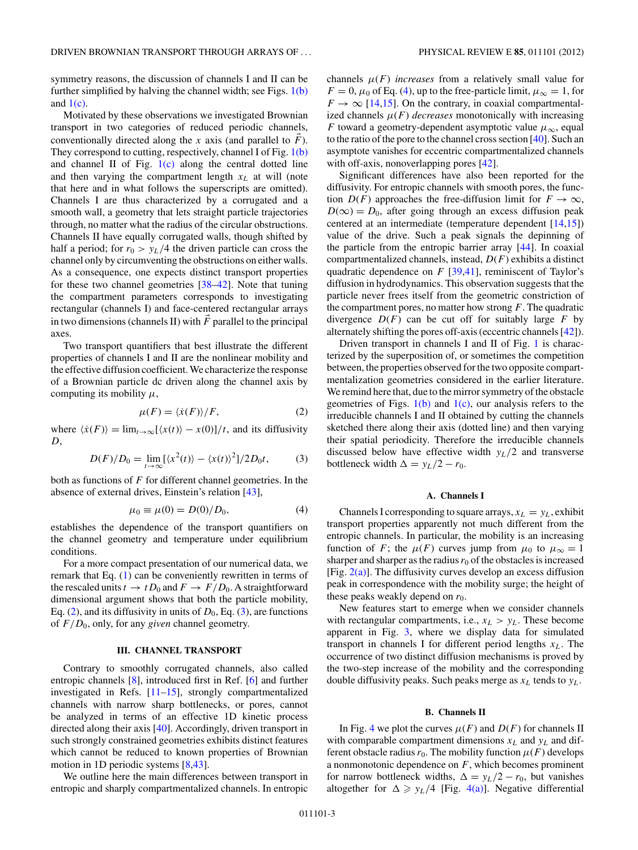<span id="page-2-0"></span>symmetry reasons, the discussion of channels I and II can be further simplified by halving the channel width; see Figs.  $1(b)$ and  $1(c)$ .

Motivated by these observations we investigated Brownian transport in two categories of reduced periodic channels, conventionally directed along the *x* axis (and parallel to  $\overline{F}$ ). They correspond to cutting, respectively, channel I of Fig.  $1(b)$ and channel II of Fig.  $1(c)$  along the central dotted line and then varying the compartment length *xL* at will (note that here and in what follows the superscripts are omitted). Channels I are thus characterized by a corrugated and a smooth wall, a geometry that lets straight particle trajectories through, no matter what the radius of the circular obstructions. Channels II have equally corrugated walls, though shifted by half a period; for  $r_0 > y_L/4$  the driven particle can cross the channel only by circumventing the obstructions on either walls. As a consequence, one expects distinct transport properties for these two channel geometries [\[38–42\]](#page-8-0). Note that tuning the compartment parameters corresponds to investigating rectangular (channels I) and face-centered rectangular arrays in two dimensions (channels II) with  $\bar{F}$  parallel to the principal axes.

Two transport quantifiers that best illustrate the different properties of channels I and II are the nonlinear mobility and the effective diffusion coefficient. We characterize the response of a Brownian particle dc driven along the channel axis by computing its mobility  $\mu$ ,

$$
\mu(F) = \langle \dot{x}(F) \rangle / F,\tag{2}
$$

where  $\langle \dot{x}(F) \rangle = \lim_{t \to \infty} [\langle x(t) \rangle - x(0)]/t$ , and its diffusivity *D*,

$$
D(F)/D_0 = \lim_{t \to \infty} [\langle x^2(t) \rangle - \langle x(t) \rangle^2]/2D_0t,\tag{3}
$$

both as functions of *F* for different channel geometries. In the absence of external drives, Einstein's relation [\[43\]](#page-8-0),

$$
\mu_0 \equiv \mu(0) = D(0)/D_0, \tag{4}
$$

establishes the dependence of the transport quantifiers on the channel geometry and temperature under equilibrium conditions.

For a more compact presentation of our numerical data, we remark that Eq. [\(1\)](#page-1-0) can be conveniently rewritten in terms of the rescaled units  $t \to t D_0$  and  $F \to F/D_0$ . A straightforward dimensional argument shows that both the particle mobility, Eq. (2), and its diffusivity in units of  $D_0$ , Eq. (3), are functions of *F/D*0, only, for any *given* channel geometry.

## **III. CHANNEL TRANSPORT**

Contrary to smoothly corrugated channels, also called entropic channels [\[8\]](#page-8-0), introduced first in Ref. [\[6\]](#page-8-0) and further investigated in Refs. [\[11–15\]](#page-8-0), strongly compartmentalized channels with narrow sharp bottlenecks, or pores, cannot be analyzed in terms of an effective 1D kinetic process directed along their axis [\[40\]](#page-8-0). Accordingly, driven transport in such strongly constrained geometries exhibits distinct features which cannot be reduced to known properties of Brownian motion in 1D periodic systems [\[8,43\]](#page-8-0).

We outline here the main differences between transport in entropic and sharply compartmentalized channels. In entropic

channels  $\mu(F)$  *increases* from a relatively small value for  $F = 0$ ,  $\mu_0$  of Eq. (4), up to the free-particle limit,  $\mu_\infty = 1$ , for  $F \to \infty$  [\[14,15\]](#page-8-0). On the contrary, in coaxial compartmentalized channels  $\mu(F)$  *decreases* monotonically with increasing

*F* toward a geometry-dependent asymptotic value  $\mu_{\infty}$ , equal to the ratio of the pore to the channel cross section [\[40\]](#page-8-0). Such an asymptote vanishes for eccentric compartmentalized channels with off-axis, nonoverlapping pores [\[42\]](#page-8-0).

Significant differences have also been reported for the diffusivity. For entropic channels with smooth pores, the function *D*(*F*) approaches the free-diffusion limit for  $F \to \infty$ ,  $D(\infty) = D_0$ , after going through an excess diffusion peak centered at an intermediate (temperature dependent [\[14,15\]](#page-8-0)) value of the drive. Such a peak signals the depinning of the particle from the entropic barrier array [\[44\]](#page-8-0). In coaxial compartmentalized channels, instead, *D*(*F*) exhibits a distinct quadratic dependence on *F* [\[39,41\]](#page-8-0), reminiscent of Taylor's diffusion in hydrodynamics. This observation suggests that the particle never frees itself from the geometric constriction of the compartment pores, no matter how strong *F*. The quadratic divergence  $D(F)$  can be cut off for suitably large  $F$  by alternately shifting the pores off-axis (eccentric channels [\[42\]](#page-8-0)).

Driven transport in channels I and II of Fig. [1](#page-1-0) is characterized by the superposition of, or sometimes the competition between, the properties observed for the two opposite compartmentalization geometries considered in the earlier literature. We remind here that, due to the mirror symmetry of the obstacle geometries of Figs.  $1(b)$  and  $1(c)$ , our analysis refers to the irreducible channels I and II obtained by cutting the channels sketched there along their axis (dotted line) and then varying their spatial periodicity. Therefore the irreducible channels discussed below have effective width  $y_L/2$  and transverse bottleneck width  $\Delta = y_L/2 - r_0$ .

## **A. Channels I**

Channels I corresponding to square arrays,  $x_L = y_L$ , exhibit transport properties apparently not much different from the entropic channels. In particular, the mobility is an increasing function of *F*; the  $\mu$ (*F*) curves jump from  $\mu$ <sub>0</sub> to  $\mu_{\infty} = 1$ sharper and sharper as the radius  $r_0$  of the obstacles is increased [Fig.  $2(a)$ ]. The diffusivity curves develop an excess diffusion peak in correspondence with the mobility surge; the height of these peaks weakly depend on  $r_0$ .

New features start to emerge when we consider channels with rectangular compartments, i.e.,  $x_L > y_L$ . These become apparent in Fig. [3,](#page-3-0) where we display data for simulated transport in channels I for different period lengths *xL*. The occurrence of two distinct diffusion mechanisms is proved by the two-step increase of the mobility and the corresponding double diffusivity peaks. Such peaks merge as *xL* tends to *yL*.

#### **B. Channels II**

In Fig. [4](#page-4-0) we plot the curves  $\mu(F)$  and  $D(F)$  for channels II with comparable compartment dimensions *xL* and *yL* and different obstacle radius  $r_0$ . The mobility function  $\mu(F)$  develops a nonmonotonic dependence on *F*, which becomes prominent for narrow bottleneck widths,  $\Delta = y_L/2 - r_0$ , but vanishes altogether for  $\Delta \geq y_L/4$  [Fig. [4\(a\)\]](#page-4-0). Negative differential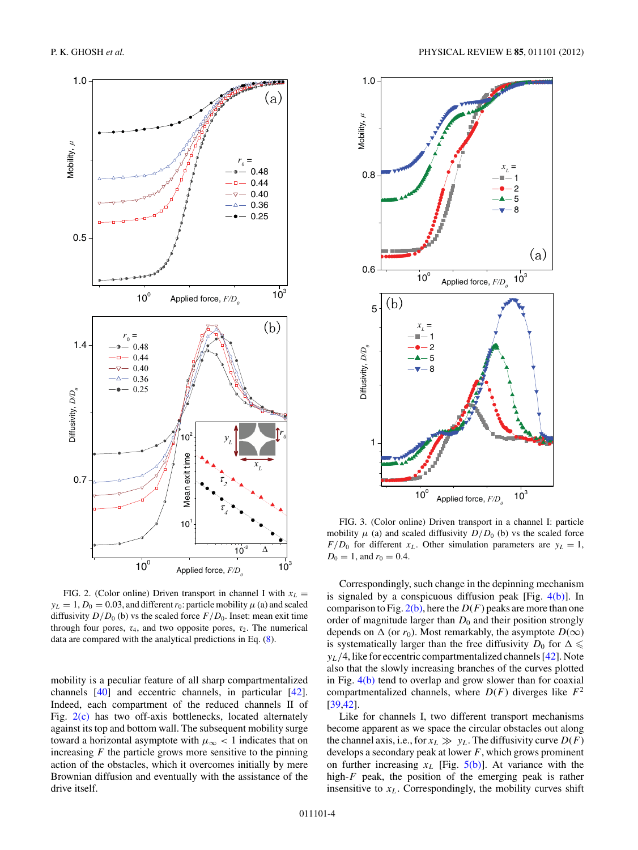<span id="page-3-0"></span>

FIG. 2. (Color online) Driven transport in channel I with  $x_L$  =  $y_L = 1, D_0 = 0.03$ , and different  $r_0$ : particle mobility  $\mu$  (a) and scaled diffusivity  $D/D_0$  (b) vs the scaled force  $F/D_0$ . Inset: mean exit time through four pores,  $\tau_4$ , and two opposite pores,  $\tau_2$ . The numerical data are compared with the analytical predictions in Eq. [\(8\)](#page-5-0).

mobility is a peculiar feature of all sharp compartmentalized channels [\[40\]](#page-8-0) and eccentric channels, in particular [\[42\]](#page-8-0). Indeed, each compartment of the reduced channels II of Fig.  $2(c)$  has two off-axis bottlenecks, located alternately against its top and bottom wall. The subsequent mobility surge toward a horizontal asymptote with  $\mu_{\infty}$  < 1 indicates that on increasing  $F$  the particle grows more sensitive to the pinning action of the obstacles, which it overcomes initially by mere Brownian diffusion and eventually with the assistance of the drive itself.



FIG. 3. (Color online) Driven transport in a channel I: particle mobility  $\mu$  (a) and scaled diffusivity  $D/D_0$  (b) vs the scaled force  $F/D_0$  for different  $x_L$ . Other simulation parameters are  $y_L = 1$ ,  $D_0 = 1$ , and  $r_0 = 0.4$ .

Correspondingly, such change in the depinning mechanism is signaled by a conspicuous diffusion peak [Fig.  $4(b)$ ]. In comparison to Fig.  $2(b)$ , here the  $D(F)$  peaks are more than one order of magnitude larger than  $D_0$  and their position strongly depends on  $\Delta$  (or *r*<sub>0</sub>). Most remarkably, the asymptote  $D(\infty)$ is systematically larger than the free diffusivity  $D_0$  for  $\Delta \leq$  $y_L/4$ , like for eccentric compartmentalized channels  $[42]$ . Note also that the slowly increasing branches of the curves plotted in Fig.  $4(b)$  tend to overlap and grow slower than for coaxial compartmentalized channels, where  $D(F)$  diverges like  $F^2$ [\[39,42\]](#page-8-0).

Like for channels I, two different transport mechanisms become apparent as we space the circular obstacles out along the channel axis, i.e., for  $x_L \gg y_L$ . The diffusivity curve  $D(F)$ develops a secondary peak at lower *F*, which grows prominent on further increasing  $x_L$  [Fig. [5\(b\)\]](#page-4-0). At variance with the high-*F* peak, the position of the emerging peak is rather insensitive to  $x_L$ . Correspondingly, the mobility curves shift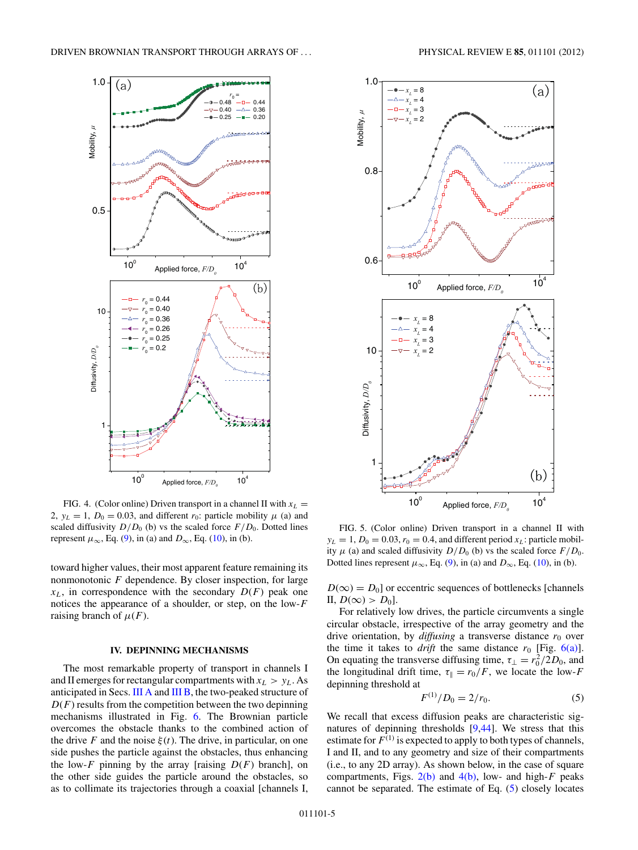<span id="page-4-0"></span>

FIG. 4. (Color online) Driven transport in a channel II with  $x_L$  = 2,  $y_L = 1$ ,  $D_0 = 0.03$ , and different  $r_0$ : particle mobility  $\mu$  (a) and scaled diffusivity  $D/D_0$  (b) vs the scaled force  $F/D_0$ . Dotted lines represent  $\mu_{\infty}$ , Eq. [\(9\)](#page-5-0), in (a) and  $D_{\infty}$ , Eq. [\(10\)](#page-6-0), in (b).

toward higher values, their most apparent feature remaining its nonmonotonic *F* dependence. By closer inspection, for large  $x_L$ , in correspondence with the secondary  $D(F)$  peak one notices the appearance of a shoulder, or step, on the low-*F* raising branch of  $\mu(F)$ .

### **IV. DEPINNING MECHANISMS**

The most remarkable property of transport in channels I and II emerges for rectangular compartments with  $x_L > y_L$ . As anticipated in Secs. [III A](#page-2-0) and [III B,](#page-2-0) the two-peaked structure of  $D(F)$  results from the competition between the two depinning mechanisms illustrated in Fig. [6.](#page-5-0) The Brownian particle overcomes the obstacle thanks to the combined action of the drive *F* and the noise  $\xi(t)$ . The drive, in particular, on one side pushes the particle against the obstacles, thus enhancing the low- $F$  pinning by the array [raising  $D(F)$  branch], on the other side guides the particle around the obstacles, so as to collimate its trajectories through a coaxial [channels I,



FIG. 5. (Color online) Driven transport in a channel II with  $y_L = 1$ ,  $D_0 = 0.03$ ,  $r_0 = 0.4$ , and different period  $x_L$ : particle mobility  $\mu$  (a) and scaled diffusivity  $D/D_0$  (b) vs the scaled force  $F/D_0$ . Dotted lines represent  $\mu_{\infty}$ , Eq. [\(9\)](#page-5-0), in (a) and  $D_{\infty}$ , Eq. [\(10\)](#page-6-0), in (b).

 $D(\infty) = D_0$ ] or eccentric sequences of bottlenecks [channels II,  $D(\infty) > D_0$ .

For relatively low drives, the particle circumvents a single circular obstacle, irrespective of the array geometry and the drive orientation, by *diffusing* a transverse distance  $r_0$  over the time it takes to *drift* the same distance  $r_0$  [Fig. [6\(a\)\]](#page-5-0). On equating the transverse diffusing time,  $\tau_{\perp} = r_0^2 / 2D_0$ , and the longitudinal drift time,  $\tau_{\parallel} = r_0/F$ , we locate the low-*F* depinning threshold at

$$
F^{(1)}/D_0 = 2/r_0. \tag{5}
$$

We recall that excess diffusion peaks are characteristic signatures of depinning thresholds [\[9,44\]](#page-8-0). We stress that this estimate for  $F^{(1)}$  is expected to apply to both types of channels, I and II, and to any geometry and size of their compartments (i.e., to any 2D array). As shown below, in the case of square compartments, Figs. [2\(b\)](#page-3-0) and 4(b), low- and high-*F* peaks cannot be separated. The estimate of Eq.  $(5)$  closely locates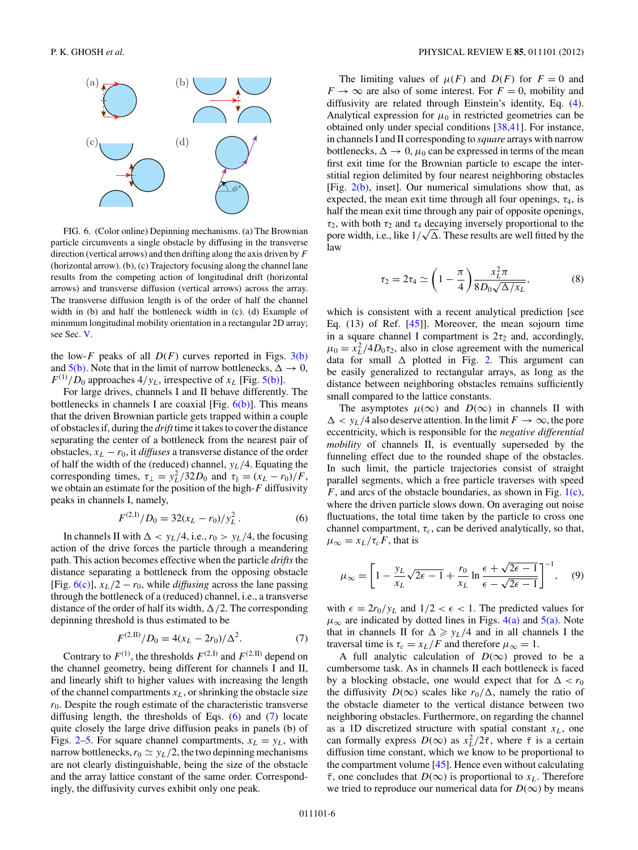<span id="page-5-0"></span>

FIG. 6. (Color online) Depinning mechanisms. (a) The Brownian particle circumvents a single obstacle by diffusing in the transverse direction (vertical arrows) and then drifting along the axis driven by *F* (horizontal arrow). (b), (c) Trajectory focusing along the channel lane results from the competing action of longitudinal drift (horizontal arrows) and transverse diffusion (vertical arrows) across the array. The transverse diffusion length is of the order of half the channel width in (b) and half the bottleneck width in (c). (d) Example of minimum longitudinal mobility orientation in a rectangular 2D array; see Sec. [V.](#page-6-0)

the low-*F* peaks of all  $D(F)$  curves reported in Figs.  $3(b)$ and  $5(b)$ . Note that in the limit of narrow bottlenecks,  $\Delta \rightarrow 0$ ,  $F^{(1)}/D_0$  approaches  $4/y_L$ , irrespective of  $x_L$  [Fig. [5\(b\)\]](#page-4-0).

For large drives, channels I and II behave differently. The bottlenecks in channels I are coaxial [Fig.  $6(b)$ ]. This means that the driven Brownian particle gets trapped within a couple of obstacles if, during the *drift* time it takes to cover the distance separating the center of a bottleneck from the nearest pair of obstacles,  $x_L - r_0$ , it *diffuses* a transverse distance of the order of half the width of the (reduced) channel, *yL/*4. Equating the corresponding times,  $\tau_{\perp} = y_L^2/32D_0$  and  $\tau_{\parallel} = (x_L - r_0)/F$ , we obtain an estimate for the position of the high-*F* diffusivity peaks in channels I, namely,

$$
F^{(2,1)}/D_0 = 32(x_L - r_0)/y_L^2.
$$
 (6)

In channels II with  $\Delta < y_L/4$ , i.e.,  $r_0 > y_L/4$ , the focusing action of the drive forces the particle through a meandering path. This action becomes effective when the particle *drifts* the distance separating a bottleneck from the opposing obstacle [Fig.  $6(c)$ ],  $x_L/2 - r_0$ , while *diffusing* across the lane passing through the bottleneck of a (reduced) channel, i.e., a transverse distance of the order of half its width,  $\Delta/2$ . The corresponding depinning threshold is thus estimated to be

$$
F^{(2,\text{II})}/D_0 = 4(x_L - 2r_0)/\Delta^2.
$$
 (7)

Contrary to  $F^{(1)}$ , the thresholds  $F^{(2,1)}$  and  $F^{(2,1)}$  depend on the channel geometry, being different for channels I and II, and linearly shift to higher values with increasing the length of the channel compartments  $x_L$ , or shrinking the obstacle size  $r<sub>0</sub>$ . Despite the rough estimate of the characteristic transverse diffusing length, the thresholds of Eqs.  $(6)$  and  $(7)$  locate quite closely the large drive diffusion peaks in panels (b) of Figs. [2–](#page-3-0)[5.](#page-4-0) For square channel compartments,  $x_L = y_L$ , with narrow bottlenecks,  $r_0 \simeq y_L/2$ , the two depinning mechanisms are not clearly distinguishable, being the size of the obstacle and the array lattice constant of the same order. Correspondingly, the diffusivity curves exhibit only one peak.

The limiting values of  $\mu(F)$  and  $D(F)$  for  $F = 0$  and  $F \to \infty$  are also of some interest. For  $F = 0$ , mobility and diffusivity are related through Einstein's identity, Eq. [\(4\)](#page-2-0). Analytical expression for  $\mu_0$  in restricted geometries can be obtained only under special conditions [\[38,41\]](#page-8-0). For instance, in channels I and II corresponding to *square* arrays with narrow bottlenecks,  $\Delta \rightarrow 0$ ,  $\mu_0$  can be expressed in terms of the mean first exit time for the Brownian particle to escape the interstitial region delimited by four nearest neighboring obstacles [Fig.  $2(b)$ , inset]. Our numerical simulations show that, as expected, the mean exit time through all four openings,  $\tau_4$ , is half the mean exit time through any pair of opposite openings,  $\tau_2$ , with both  $\tau_2$  and  $\tau_4$  decaying inversely proportional to the pore width, i.e., like  $1/\sqrt{\Delta}$ . These results are well fitted by the law

$$
\tau_2 = 2\tau_4 \simeq \left(1 - \frac{\pi}{4}\right) \frac{x_L^2 \pi}{8D_0 \sqrt{\Delta/x_L}},\tag{8}
$$

which is consistent with a recent analytical prediction [see Eq. (13) of Ref. [\[45\]](#page-8-0)]. Moreover, the mean sojourn time in a square channel I compartment is  $2\tau_2$  and, accordingly,  $\mu_0 = x_L^2/4D_0\tau_2$ , also in close agreement with the numerical data for small  $\Delta$  plotted in Fig. [2.](#page-3-0) This argument can be easily generalized to rectangular arrays, as long as the distance between neighboring obstacles remains sufficiently small compared to the lattice constants.

The asymptotes  $\mu(\infty)$  and  $D(\infty)$  in channels II with  $\Delta < y_L/4$  also deserve attention. In the limit  $F \to \infty$ , the pore eccentricity, which is responsible for the *negative differential mobility* of channels II, is eventually superseded by the funneling effect due to the rounded shape of the obstacles. In such limit, the particle trajectories consist of straight parallel segments, which a free particle traverses with speed  $F$ , and arcs of the obstacle boundaries, as shown in Fig.  $1(c)$ , where the driven particle slows down. On averaging out noise fluctuations, the total time taken by the particle to cross one channel compartment,  $\tau_c$ , can be derived analytically, so that,  $\mu_{\infty} = x_L/\tau_c F$ , that is

$$
\mu_{\infty} = \left[1 - \frac{y_L}{x_L}\sqrt{2\epsilon - 1} + \frac{r_0}{x_L}\ln\frac{\epsilon + \sqrt{2\epsilon - 1}}{\epsilon - \sqrt{2\epsilon - 1}}\right]^{-1},\quad(9)
$$

with  $\epsilon = 2r_0/y_L$  and  $1/2 < \epsilon < 1$ . The predicted values for  $\mu_{\infty}$  are indicated by dotted lines in Figs. [4\(a\)](#page-4-0) and [5\(a\).](#page-4-0) Note that in channels II for  $\Delta \geq y_L/4$  and in all channels I the traversal time is  $\tau_c = x_L/F$  and therefore  $\mu_\infty = 1$ .

A full analytic calculation of  $D(\infty)$  proved to be a cumbersome task. As in channels II each bottleneck is faced by a blocking obstacle, one would expect that for  $\Delta < r_0$ the diffusivity  $D(\infty)$  scales like  $r_0/\Delta$ , namely the ratio of the obstacle diameter to the vertical distance between two neighboring obstacles. Furthermore, on regarding the channel as a 1D discretized structure with spatial constant  $x_L$ , one can formally express  $D(\infty)$  as  $x_L^2/2\bar{\tau}$ , where  $\bar{\tau}$  is a certain diffusion time constant, which we know to be proportional to the compartment volume [\[45\]](#page-8-0). Hence even without calculating  $\bar{\tau}$ , one concludes that *D*( $\infty$ ) is proportional to *x<sub>L</sub>*. Therefore we tried to reproduce our numerical data for  $D(\infty)$  by means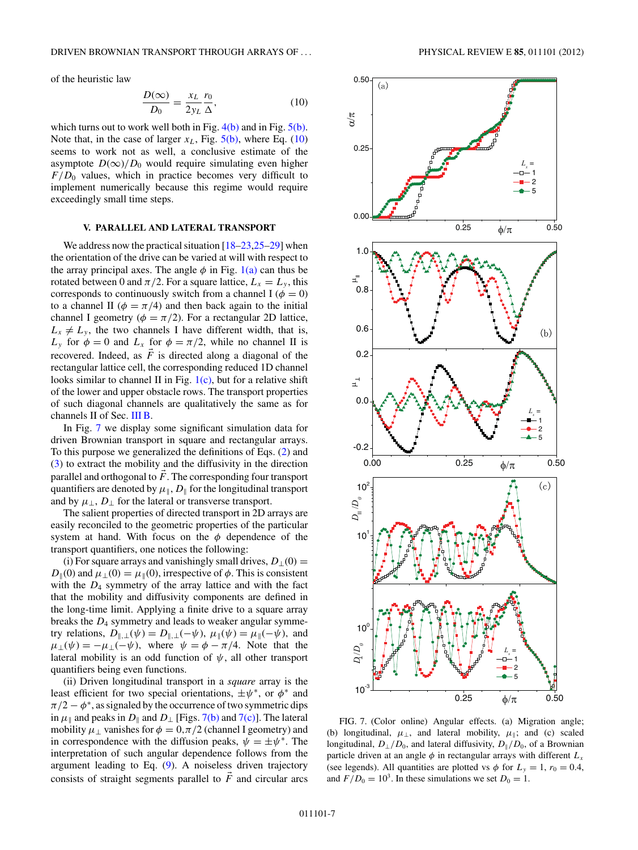<span id="page-6-0"></span>of the heuristic law

$$
\frac{D(\infty)}{D_0} = \frac{x_L}{2y_L} \frac{r_0}{\Delta},\tag{10}
$$

which turns out to work well both in Fig.  $4(b)$  and in Fig.  $5(b)$ . Note that, in the case of larger  $x_L$ , Fig.  $5(b)$ , where Eq. (10) seems to work not as well, a conclusive estimate of the asymptote  $D(\infty)/D_0$  would require simulating even higher  $F/D_0$  values, which in practice becomes very difficult to implement numerically because this regime would require exceedingly small time steps.

## **V. PARALLEL AND LATERAL TRANSPORT**

We address now the practical situation  $[18-23,25-29]$  when the orientation of the drive can be varied at will with respect to the array principal axes. The angle  $\phi$  in Fig. [1\(a\)](#page-1-0) can thus be rotated between 0 and  $\pi/2$ . For a square lattice,  $L_x = L_y$ , this corresponds to continuously switch from a channel I ( $\phi = 0$ ) to a channel II ( $\phi = \pi/4$ ) and then back again to the initial channel I geometry ( $\phi = \pi/2$ ). For a rectangular 2D lattice,  $L_x \neq L_y$ , the two channels I have different width, that is, *L<sub>y</sub>* for  $\phi = 0$  and *L<sub>x</sub>* for  $\phi = \pi/2$ , while no channel II is recovered. Indeed, as *F*- is directed along a diagonal of the rectangular lattice cell, the corresponding reduced 1D channel looks similar to channel II in Fig.  $1(c)$ , but for a relative shift of the lower and upper obstacle rows. The transport properties of such diagonal channels are qualitatively the same as for channels II of Sec. [III B.](#page-2-0)

In Fig. 7 we display some significant simulation data for driven Brownian transport in square and rectangular arrays. To this purpose we generalized the definitions of Eqs. [\(2\)](#page-2-0) and [\(3\)](#page-2-0) to extract the mobility and the diffusivity in the direction parallel and orthogonal to *F*-. The corresponding four transport quantifiers are denoted by  $\mu_{\parallel}$ ,  $D_{\parallel}$  for the longitudinal transport and by  $\mu_{\perp}$ ,  $D_{\perp}$  for the lateral or transverse transport.

The salient properties of directed transport in 2D arrays are easily reconciled to the geometric properties of the particular system at hand. With focus on the  $\phi$  dependence of the transport quantifiers, one notices the following:

(i) For square arrays and vanishingly small drives,  $D_{\perp}(0)$  =  $D_{\parallel}(0)$  and  $\mu_{\perp}(0) = \mu_{\parallel}(0)$ , irrespective of  $\phi$ . This is consistent with the *D*<sup>4</sup> symmetry of the array lattice and with the fact that the mobility and diffusivity components are defined in the long-time limit. Applying a finite drive to a square array breaks the *D*<sup>4</sup> symmetry and leads to weaker angular symmetry relations,  $D_{\parallel,\perp}(\psi) = D_{\parallel,\perp}(-\psi)$ ,  $\mu_{\parallel}(\psi) = \mu_{\parallel}(-\psi)$ , and  $\mu_{\perp}(\psi) = -\mu_{\perp}(-\psi)$ , where  $\psi = \phi - \pi/4$ . Note that the lateral mobility is an odd function of  $\psi$ , all other transport quantifiers being even functions.

(ii) Driven longitudinal transport in a *square* array is the least efficient for two special orientations,  $\pm \psi^*$ , or  $\phi^*$  and  $\pi/2 - \phi^*$ , as signaled by the occurrence of two symmetric dips in  $\mu_{\parallel}$  and peaks in  $D_{\parallel}$  and  $D_{\perp}$  [Figs. 7(b) and 7(c)]. The lateral mobility  $\mu_{\perp}$  vanishes for  $\phi = 0, \pi/2$  (channel I geometry) and in correspondence with the diffusion peaks,  $\psi = \pm \psi^*$ . The interpretation of such angular dependence follows from the argument leading to Eq. [\(9\)](#page-5-0). A noiseless driven trajectory consists of straight segments parallel to  $\overline{F}$  and circular arcs



FIG. 7. (Color online) Angular effects. (a) Migration angle; (b) longitudinal,  $\mu_{\perp}$ , and lateral mobility,  $\mu_{\parallel}$ ; and (c) scaled longitudinal,  $D_{\perp}/D_0$ , and lateral diffusivity,  $D_{\parallel}/D_0$ , of a Brownian particle driven at an angle  $\phi$  in rectangular arrays with different  $L_x$ (see legends). All quantities are plotted vs  $\phi$  for  $L_y = 1$ ,  $r_0 = 0.4$ , and  $F/D_0 = 10^3$ . In these simulations we set  $D_0 = 1$ .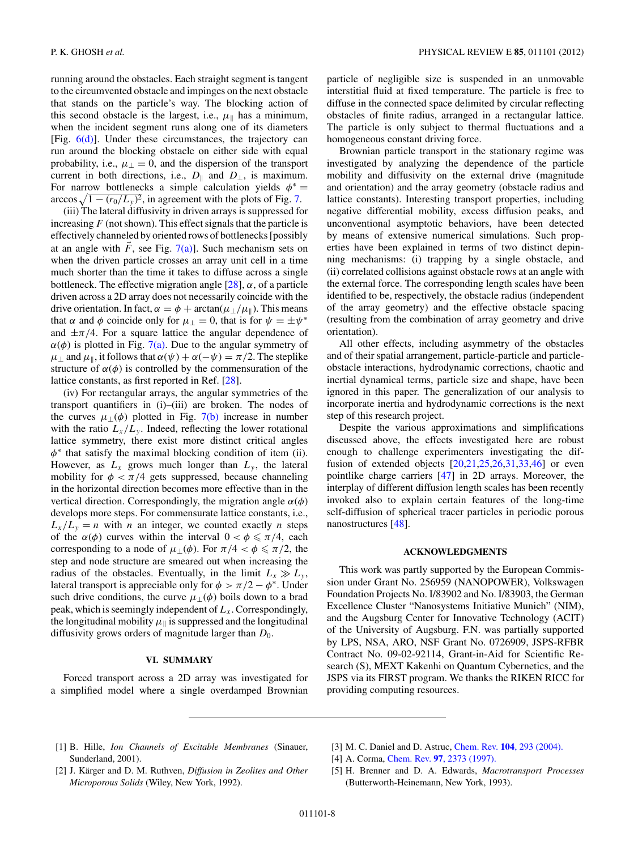<span id="page-7-0"></span>running around the obstacles. Each straight segment is tangent to the circumvented obstacle and impinges on the next obstacle that stands on the particle's way. The blocking action of this second obstacle is the largest, i.e.,  $\mu_{\parallel}$  has a minimum, when the incident segment runs along one of its diameters [Fig.  $6(d)$ ]. Under these circumstances, the trajectory can run around the blocking obstacle on either side with equal probability, i.e.,  $\mu_{\perp} = 0$ , and the dispersion of the transport current in both directions, i.e.,  $D_{\parallel}$  and  $D_{\perp}$ , is maximum. For narrow bottlenecks a simple calculation yields  $\phi^*$  = arccos  $\sqrt{1 - (r_0/L_y)^2}$ , in agreement with the plots of Fig. [7.](#page-6-0)

(iii) The lateral diffusivity in driven arrays is suppressed for increasing *F* (not shown). This effect signals that the particle is effectively channeled by oriented rows of bottlenecks [possibly at an angle with  $\ddot{F}$ , see Fig. [7\(a\)\]](#page-6-0). Such mechanism sets on when the driven particle crosses an array unit cell in a time much shorter than the time it takes to diffuse across a single bottleneck. The effective migration angle  $[28]$ ,  $\alpha$ , of a particle driven across a 2D array does not necessarily coincide with the drive orientation. In fact,  $\alpha = \phi + \arctan(\mu/\mu)$ . This means that  $\alpha$  and  $\phi$  coincide only for  $\mu_{\perp} = 0$ , that is for  $\psi = \pm \psi^*$ and  $\pm \pi/4$ . For a square lattice the angular dependence of  $\alpha(\phi)$  is plotted in Fig. [7\(a\).](#page-6-0) Due to the angular symmetry of  $\mu_{\perp}$  and  $\mu_{\parallel}$ , it follows that  $\alpha(\psi) + \alpha(-\psi) = \pi/2$ . The steplike structure of  $\alpha(\phi)$  is controlled by the commensuration of the lattice constants, as first reported in Ref. [\[28\]](#page-8-0).

(iv) For rectangular arrays, the angular symmetries of the transport quantifiers in (i)–(iii) are broken. The nodes of the curves  $\mu_{\perp}(\phi)$  plotted in Fig. [7\(b\)](#page-6-0) increase in number with the ratio  $L_x/L_y$ . Indeed, reflecting the lower rotational lattice symmetry, there exist more distinct critical angles *φ*<sup>∗</sup> that satisfy the maximal blocking condition of item (ii). However, as  $L_x$  grows much longer than  $L_y$ , the lateral mobility for  $\phi < \pi/4$  gets suppressed, because channeling in the horizontal direction becomes more effective than in the vertical direction. Correspondingly, the migration angle  $\alpha(\phi)$ develops more steps. For commensurate lattice constants, i.e.,  $L_x/L_y = n$  with *n* an integer, we counted exactly *n* steps of the  $\alpha(\phi)$  curves within the interval  $0 < \phi \le \pi/4$ , each corresponding to a node of  $\mu_+(\phi)$ . For  $\pi/4 < \phi \leq \pi/2$ , the step and node structure are smeared out when increasing the radius of the obstacles. Eventually, in the limit  $L_x \gg L_y$ , lateral transport is appreciable only for  $\phi > \pi/2 - \phi^*$ . Under such drive conditions, the curve  $\mu_{\perp}(\phi)$  boils down to a brad peak, which is seemingly independent of  $L<sub>x</sub>$ . Correspondingly, the longitudinal mobility  $\mu_{\parallel}$  is suppressed and the longitudinal diffusivity grows orders of magnitude larger than  $D_0$ .

## **VI. SUMMARY**

Forced transport across a 2D array was investigated for a simplified model where a single overdamped Brownian

particle of negligible size is suspended in an unmovable interstitial fluid at fixed temperature. The particle is free to diffuse in the connected space delimited by circular reflecting obstacles of finite radius, arranged in a rectangular lattice. The particle is only subject to thermal fluctuations and a homogeneous constant driving force.

Brownian particle transport in the stationary regime was investigated by analyzing the dependence of the particle mobility and diffusivity on the external drive (magnitude and orientation) and the array geometry (obstacle radius and lattice constants). Interesting transport properties, including negative differential mobility, excess diffusion peaks, and unconventional asymptotic behaviors, have been detected by means of extensive numerical simulations. Such properties have been explained in terms of two distinct depinning mechanisms: (i) trapping by a single obstacle, and (ii) correlated collisions against obstacle rows at an angle with the external force. The corresponding length scales have been identified to be, respectively, the obstacle radius (independent of the array geometry) and the effective obstacle spacing (resulting from the combination of array geometry and drive orientation).

All other effects, including asymmetry of the obstacles and of their spatial arrangement, particle-particle and particleobstacle interactions, hydrodynamic corrections, chaotic and inertial dynamical terms, particle size and shape, have been ignored in this paper. The generalization of our analysis to incorporate inertia and hydrodynamic corrections is the next step of this research project.

Despite the various approximations and simplifications discussed above, the effects investigated here are robust enough to challenge experimenters investigating the diffusion of extended objects  $[20,21,25,26,31,33,46]$  or even pointlike charge carriers [\[47\]](#page-8-0) in 2D arrays. Moreover, the interplay of different diffusion length scales has been recently invoked also to explain certain features of the long-time self-diffusion of spherical tracer particles in periodic porous nanostructures [\[48\]](#page-8-0).

#### **ACKNOWLEDGMENTS**

This work was partly supported by the European Commission under Grant No. 256959 (NANOPOWER), Volkswagen Foundation Projects No. I/83902 and No. I/83903, the German Excellence Cluster "Nanosystems Initiative Munich" (NIM), and the Augsburg Center for Innovative Technology (ACIT) of the University of Augsburg. F.N. was partially supported by LPS, NSA, ARO, NSF Grant No. 0726909, JSPS-RFBR Contract No. 09-02-92114, Grant-in-Aid for Scientific Research (S), MEXT Kakenhi on Quantum Cybernetics, and the JSPS via its FIRST program. We thanks the RIKEN RICC for providing computing resources.

- [1] B. Hille, *Ion Channels of Excitable Membranes* (Sinauer, Sunderland, 2001).
- [3] M. C. Daniel and D. Astruc, Chem. Rev. **104**[, 293 \(2004\).](http://dx.doi.org/10.1021/cr030698+)
- [4] A. Corma, Chem. Rev. **97**[, 2373 \(1997\).](http://dx.doi.org/10.1021/cr960406n)
- [2] J. Kärger and D. M. Ruthven, *Diffusion in Zeolites and Other Microporous Solids* (Wiley, New York, 1992).
- [5] H. Brenner and D. A. Edwards, *Macrotransport Processes* (Butterworth-Heinemann, New York, 1993).